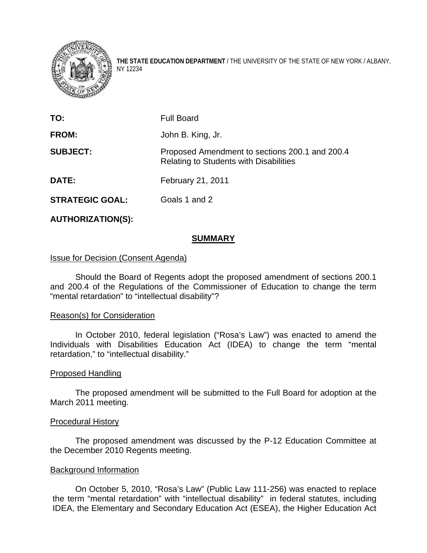

**THE STATE EDUCATION DEPARTMENT** / THE UNIVERSITY OF THE STATE OF NEW YORK / ALBANY, NY 12234

| TO:                    | <b>Full Board</b>                                                                               |
|------------------------|-------------------------------------------------------------------------------------------------|
| FROM:                  | John B. King, Jr.                                                                               |
| <b>SUBJECT:</b>        | Proposed Amendment to sections 200.1 and 200.4<br><b>Relating to Students with Disabilities</b> |
| <b>DATE:</b>           | February 21, 2011                                                                               |
| <b>STRATEGIC GOAL:</b> | Goals 1 and 2                                                                                   |

**AUTHORIZATION(S):** 

## **SUMMARY**

## Issue for Decision (Consent Agenda)

 Should the Board of Regents adopt the proposed amendment of sections 200.1 and 200.4 of the Regulations of the Commissioner of Education to change the term "mental retardation" to "intellectual disability"?

## Reason(s) for Consideration

In October 2010, federal legislation ("Rosa's Law") was enacted to amend the Individuals with Disabilities Education Act (IDEA) to change the term "mental retardation," to "intellectual disability."

## Proposed Handling

 The proposed amendment will be submitted to the Full Board for adoption at the March 2011 meeting.

## Procedural History

The proposed amendment was discussed by the P-12 Education Committee at the December 2010 Regents meeting.

## Background Information

On October 5, 2010, "Rosa's Law" (Public Law 111-256) was enacted to replace the term "mental retardation" with "intellectual disability" in federal statutes, including IDEA, the Elementary and Secondary Education Act (ESEA), the Higher Education Act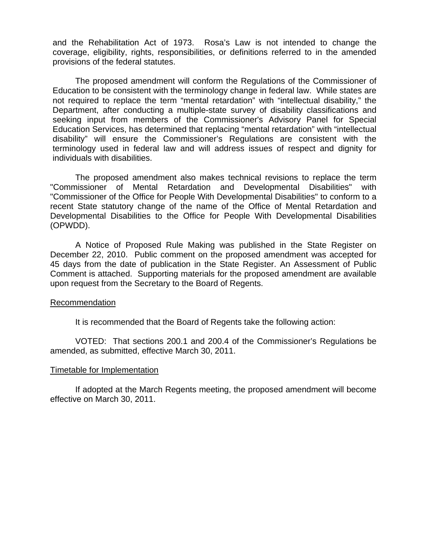and the Rehabilitation Act of 1973. Rosa's Law is not intended to change the coverage, eligibility, rights, responsibilities, or definitions referred to in the amended provisions of the federal statutes.

The proposed amendment will conform the Regulations of the Commissioner of Education to be consistent with the terminology change in federal law. While states are not required to replace the term "mental retardation" with "intellectual disability," the Department, after conducting a multiple-state survey of disability classifications and seeking input from members of the Commissioner's Advisory Panel for Special Education Services, has determined that replacing "mental retardation" with "intellectual disability" will ensure the Commissioner's Regulations are consistent with the terminology used in federal law and will address issues of respect and dignity for individuals with disabilities.

 The proposed amendment also makes technical revisions to replace the term "Commissioner of Mental Retardation and Developmental Disabilities" with "Commissioner of the Office for People With Developmental Disabilities" to conform to a recent State statutory change of the name of the Office of Mental Retardation and Developmental Disabilities to the Office for People With Developmental Disabilities (OPWDD).

A Notice of Proposed Rule Making was published in the State Register on December 22, 2010. Public comment on the proposed amendment was accepted for 45 days from the date of publication in the State Register. An Assessment of Public Comment is attached. Supporting materials for the proposed amendment are available upon request from the Secretary to the Board of Regents.

## Recommendation

It is recommended that the Board of Regents take the following action:

 VOTED: That sections 200.1 and 200.4 of the Commissioner's Regulations be amended, as submitted, effective March 30, 2011.

#### Timetable for Implementation

If adopted at the March Regents meeting, the proposed amendment will become effective on March 30, 2011.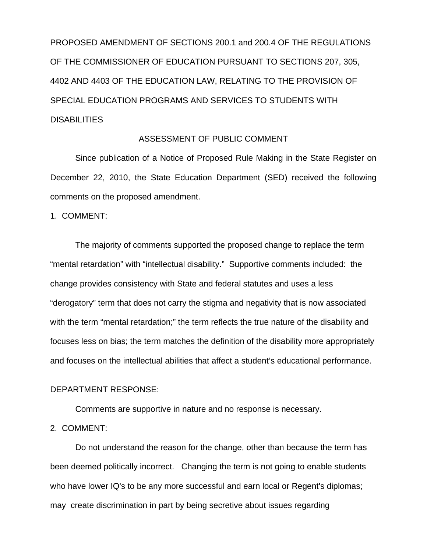PROPOSED AMENDMENT OF SECTIONS 200.1 and 200.4 OF THE REGULATIONS OF THE COMMISSIONER OF EDUCATION PURSUANT TO SECTIONS 207, 305, 4402 AND 4403 OF THE EDUCATION LAW, RELATING TO THE PROVISION OF SPECIAL EDUCATION PROGRAMS AND SERVICES TO STUDENTS WITH **DISABILITIES** 

## ASSESSMENT OF PUBLIC COMMENT

Since publication of a Notice of Proposed Rule Making in the State Register on December 22, 2010, the State Education Department (SED) received the following comments on the proposed amendment.

1. COMMENT:

The majority of comments supported the proposed change to replace the term "mental retardation" with "intellectual disability." Supportive comments included: the change provides consistency with State and federal statutes and uses a less "derogatory" term that does not carry the stigma and negativity that is now associated with the term "mental retardation;" the term reflects the true nature of the disability and focuses less on bias; the term matches the definition of the disability more appropriately and focuses on the intellectual abilities that affect a student's educational performance.

## DEPARTMENT RESPONSE:

Comments are supportive in nature and no response is necessary.

2. COMMENT:

Do not understand the reason for the change, other than because the term has been deemed politically incorrect. Changing the term is not going to enable students who have lower IQ's to be any more successful and earn local or Regent's diplomas; may create discrimination in part by being secretive about issues regarding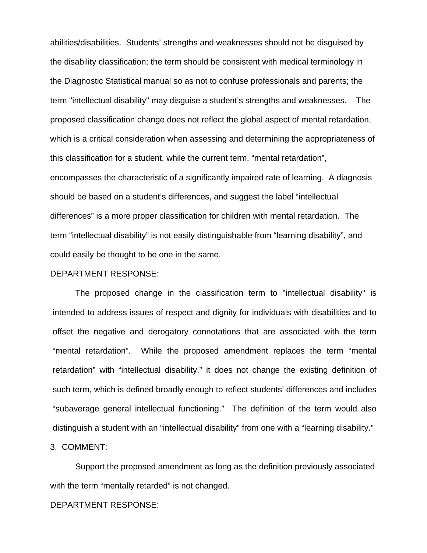abilities/disabilities. Students' strengths and weaknesses should not be disguised by the disability classification; the term should be consistent with medical terminology in the Diagnostic Statistical manual so as not to confuse professionals and parents; the term "intellectual disability" may disguise a student's strengths and weaknesses. The proposed classification change does not reflect the global aspect of mental retardation, which is a critical consideration when assessing and determining the appropriateness of this classification for a student, while the current term, "mental retardation", encompasses the characteristic of a significantly impaired rate of learning. A diagnosis should be based on a student's differences, and suggest the label "intellectual differences" is a more proper classification for children with mental retardation. The term "intellectual disability" is not easily distinguishable from "learning disability", and could easily be thought to be one in the same.

### DEPARTMENT RESPONSE:

The proposed change in the classification term to "intellectual disability" is intended to address issues of respect and dignity for individuals with disabilities and to offset the negative and derogatory connotations that are associated with the term "mental retardation". While the proposed amendment replaces the term "mental retardation" with "intellectual disability," it does not change the existing definition of such term, which is defined broadly enough to reflect students' differences and includes "subaverage general intellectual functioning." The definition of the term would also distinguish a student with an "intellectual disability" from one with a "learning disability."

3. COMMENT:

 Support the proposed amendment as long as the definition previously associated with the term "mentally retarded" is not changed.

#### DEPARTMENT RESPONSE: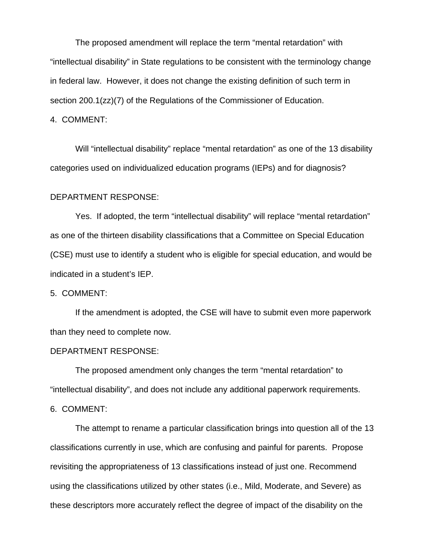The proposed amendment will replace the term "mental retardation" with "intellectual disability" in State regulations to be consistent with the terminology change in federal law. However, it does not change the existing definition of such term in section 200.1(zz)(7) of the Regulations of the Commissioner of Education.

### 4. COMMENT:

Will "intellectual disability" replace "mental retardation" as one of the 13 disability categories used on individualized education programs (IEPs) and for diagnosis?

## DEPARTMENT RESPONSE:

 Yes. If adopted, the term "intellectual disability" will replace "mental retardation" as one of the thirteen disability classifications that a Committee on Special Education (CSE) must use to identify a student who is eligible for special education, and would be indicated in a student's IEP.

#### 5. COMMENT:

If the amendment is adopted, the CSE will have to submit even more paperwork than they need to complete now.

### DEPARTMENT RESPONSE:

 The proposed amendment only changes the term "mental retardation" to "intellectual disability", and does not include any additional paperwork requirements.

#### 6. COMMENT:

The attempt to rename a particular classification brings into question all of the 13 classifications currently in use, which are confusing and painful for parents. Propose revisiting the appropriateness of 13 classifications instead of just one. Recommend using the classifications utilized by other states (i.e., Mild, Moderate, and Severe) as these descriptors more accurately reflect the degree of impact of the disability on the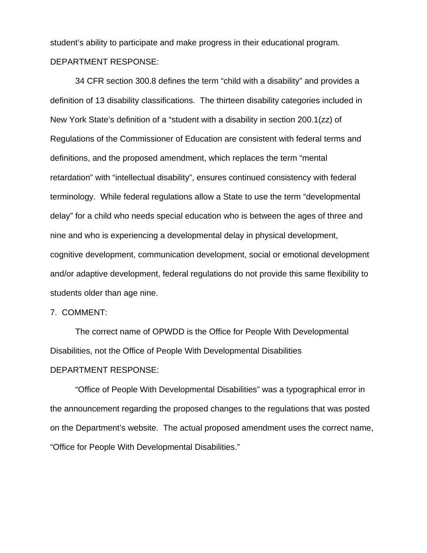student's ability to participate and make progress in their educational program. DEPARTMENT RESPONSE:

 34 CFR section 300.8 defines the term "child with a disability" and provides a definition of 13 disability classifications. The thirteen disability categories included in New York State's definition of a "student with a disability in section 200.1(zz) of Regulations of the Commissioner of Education are consistent with federal terms and definitions, and the proposed amendment, which replaces the term "mental retardation" with "intellectual disability", ensures continued consistency with federal terminology. While federal regulations allow a State to use the term "developmental delay" for a child who needs special education who is between the ages of three and nine and who is experiencing a developmental delay in physical development, cognitive development, communication development, social or emotional development and/or adaptive development, federal regulations do not provide this same flexibility to students older than age nine.

## 7. COMMENT:

The correct name of OPWDD is the Office for People With Developmental Disabilities, not the Office of People With Developmental Disabilities DEPARTMENT RESPONSE:

 "Office of People With Developmental Disabilities" was a typographical error in the announcement regarding the proposed changes to the regulations that was posted on the Department's website. The actual proposed amendment uses the correct name, "Office for People With Developmental Disabilities."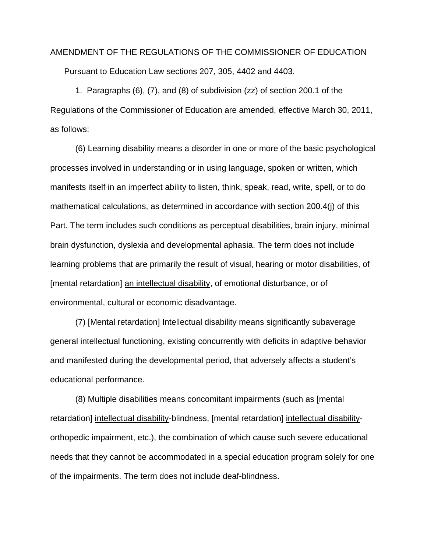# AMENDMENT OF THE REGULATIONS OF THE COMMISSIONER OF EDUCATION Pursuant to Education Law sections 207, 305, 4402 and 4403.

 1. Paragraphs (6), (7), and (8) of subdivision (zz) of section 200.1 of the Regulations of the Commissioner of Education are amended, effective March 30, 2011, as follows:

 (6) Learning disability means a disorder in one or more of the basic psychological processes involved in understanding or in using language, spoken or written, which manifests itself in an imperfect ability to listen, think, speak, read, write, spell, or to do mathematical calculations, as determined in accordance with section 200.4(j) of this Part. The term includes such conditions as perceptual disabilities, brain injury, minimal brain dysfunction, dyslexia and developmental aphasia. The term does not include learning problems that are primarily the result of visual, hearing or motor disabilities, of [mental retardation] an intellectual disability, of emotional disturbance, or of environmental, cultural or economic disadvantage.

 (7) [Mental retardation] Intellectual disability means significantly subaverage general intellectual functioning, existing concurrently with deficits in adaptive behavior and manifested during the developmental period, that adversely affects a student's educational performance.

 (8) Multiple disabilities means concomitant impairments (such as [mental retardation] intellectual disability-blindness, [mental retardation] intellectual disabilityorthopedic impairment, etc.), the combination of which cause such severe educational needs that they cannot be accommodated in a special education program solely for one of the impairments. The term does not include deaf-blindness.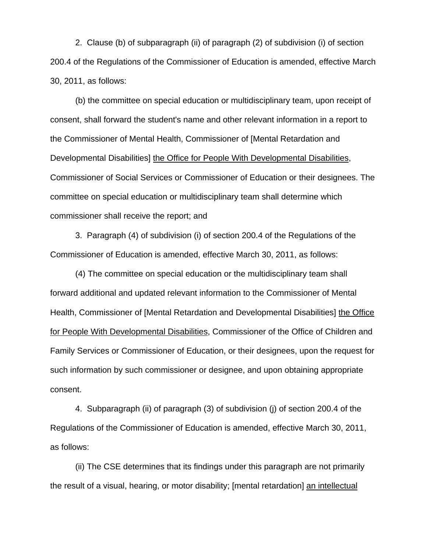2. Clause (b) of subparagraph (ii) of paragraph (2) of subdivision (i) of section 200.4 of the Regulations of the Commissioner of Education is amended, effective March 30, 2011, as follows:

 (b) the committee on special education or multidisciplinary team, upon receipt of consent, shall forward the student's name and other relevant information in a report to the Commissioner of Mental Health, Commissioner of [Mental Retardation and Developmental Disabilities] the Office for People With Developmental Disabilities, Commissioner of Social Services or Commissioner of Education or their designees. The committee on special education or multidisciplinary team shall determine which commissioner shall receive the report; and

 3. Paragraph (4) of subdivision (i) of section 200.4 of the Regulations of the Commissioner of Education is amended, effective March 30, 2011, as follows:

 (4) The committee on special education or the multidisciplinary team shall forward additional and updated relevant information to the Commissioner of Mental Health, Commissioner of [Mental Retardation and Developmental Disabilities] the Office for People With Developmental Disabilities, Commissioner of the Office of Children and Family Services or Commissioner of Education, or their designees, upon the request for such information by such commissioner or designee, and upon obtaining appropriate consent.

 4. Subparagraph (ii) of paragraph (3) of subdivision (j) of section 200.4 of the Regulations of the Commissioner of Education is amended, effective March 30, 2011, as follows:

 (ii) The CSE determines that its findings under this paragraph are not primarily the result of a visual, hearing, or motor disability; [mental retardation] an intellectual